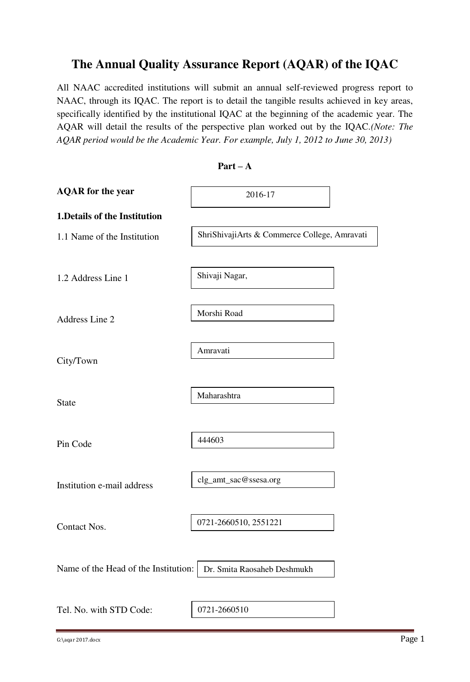## **The Annual Quality Assurance Report (AQAR) of the IQAC**

All NAAC accredited institutions will submit an annual self-reviewed progress report to NAAC, through its IQAC. The report is to detail the tangible results achieved in key areas, specifically identified by the institutional IQAC at the beginning of the academic year. The AQAR will detail the results of the perspective plan worked out by the IQAC.*(Note: The AQAR period would be the Academic Year. For example, July 1, 2012 to June 30, 2013)* 

| <b>AQAR</b> for the year             | 2016-17                                      |
|--------------------------------------|----------------------------------------------|
| 1. Details of the Institution        |                                              |
| 1.1 Name of the Institution          | ShriShivajiArts & Commerce College, Amravati |
|                                      |                                              |
| 1.2 Address Line 1                   | Shivaji Nagar,                               |
|                                      |                                              |
| Address Line 2                       | Morshi Road                                  |
|                                      |                                              |
| City/Town                            | Amravati                                     |
|                                      |                                              |
| <b>State</b>                         | Maharashtra                                  |
|                                      |                                              |
| Pin Code                             | 444603                                       |
|                                      |                                              |
| Institution e-mail address           | clg_amt_sac@ssesa.org                        |
|                                      |                                              |
| <b>Contact Nos.</b>                  | 0721-2660510, 2551221                        |
|                                      |                                              |
| Name of the Head of the Institution: | Dr. Smita Raosaheb Deshmukh                  |
|                                      |                                              |
| Tel. No. with STD Code:              | 0721-2660510                                 |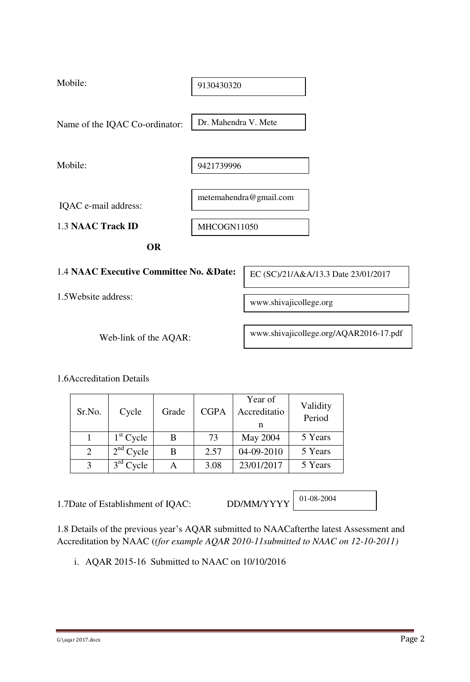| Mobile:                                  | 9130430320           |                                        |
|------------------------------------------|----------------------|----------------------------------------|
| Name of the IQAC Co-ordinator:           | Dr. Mahendra V. Mete |                                        |
|                                          |                      |                                        |
| Mobile:                                  | 9421739996           |                                        |
| IQAC e-mail address:                     |                      | metemahendra@gmail.com                 |
| <b>1.3 NAAC Track ID</b>                 | MHCOGN11050          |                                        |
| <b>OR</b>                                |                      |                                        |
| 1.4 NAAC Executive Committee No. & Date: |                      | EC (SC)/21/A&A/13.3 Date 23/01/2017    |
| 1.5Website address:                      |                      | www.shivajicollege.org                 |
| Web-link of the AQAR:                    |                      | www.shivajicollege.org/AQAR2016-17.pdf |

1.6Accreditation Details

| Sr.No.         | Cycle       | Grade | <b>CGPA</b> | Year of<br>Accreditatio | Validity<br>Period |
|----------------|-------------|-------|-------------|-------------------------|--------------------|
|                | $1st$ Cycle | В     | 73          | May 2004                | 5 Years            |
| $\overline{2}$ | $2nd$ Cycle | В     | 2.57        | 04-09-2010              | 5 Years            |
|                | $3rd$ Cycle |       | 3.08        | 23/01/2017              | 5 Years            |

1.7Date of Establishment of IQAC: DD/MM/YYYY

01-08-2004

1.8 Details of the previous year's AQAR submitted to NAACafterthe latest Assessment and Accreditation by NAAC (*(for example AQAR 2010-11submitted to NAAC on 12-10-2011)*

i. AQAR 2015-16 Submitted to NAAC on 10/10/2016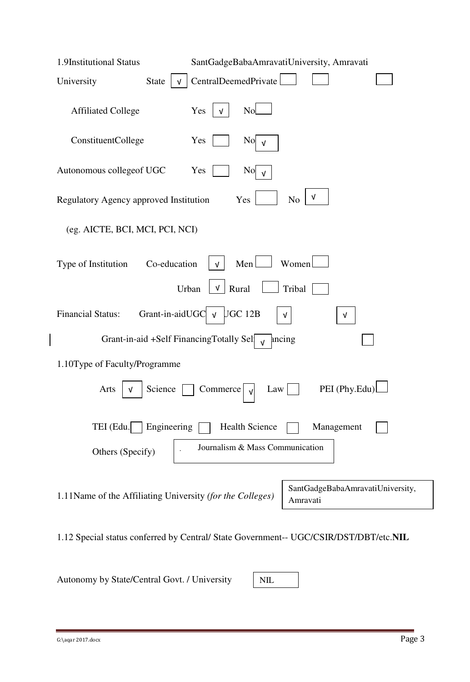| 1.9Institutional Status<br>SantGadgeBabaAmravatiUniversity, Amravati                                      |
|-----------------------------------------------------------------------------------------------------------|
| CentralDeemedPrivate<br><b>State</b><br>University                                                        |
| N <sub>o</sub><br><b>Affiliated College</b><br>Yes<br>V                                                   |
| ConstituentCollege<br>Yes<br>N <sub>o</sub><br>$\sqrt{ }$                                                 |
| Autonomous collegeof UGC<br>Yes<br>N <sub>o</sub>                                                         |
| v<br>Regulatory Agency approved Institution<br>Yes<br>N <sub>0</sub>                                      |
| (eg. AICTE, BCI, MCI, PCI, NCI)                                                                           |
| Men <sup>1</sup><br>Women<br>Co-education<br>Type of Institution<br>$\sqrt{ }$                            |
| Rural<br>Tribal<br>Urban<br>V                                                                             |
| Grant-in-aidUGC<br><b>Financial Status:</b><br>UGC 12B<br>$\sqrt{ }$<br>v<br>V                            |
| Grant-in-aid +Self FinancingTotally Sel $\sqrt{\sqrt{ }}$<br>ancing                                       |
| 1.10Type of Faculty/Programme                                                                             |
| PEI (Phy.Edu)<br>Science<br>Commerce<br>Law<br>Arts<br>v                                                  |
| TEI (Edu.<br>Engineering<br><b>Health Science</b><br>Management                                           |
| Journalism & Mass Communication<br>Others (Specify)                                                       |
| SantGadgeBabaAmravatiUniversity,<br>1.11Name of the Affiliating University (for the Colleges)<br>Amravati |
| 1.12 Special status conferred by Central/ State Government-- UGC/CSIR/DST/DBT/etc.NIL                     |

Autonomy by State/Central Govt. / University

NIL

 $\begin{array}{c} \hline \end{array}$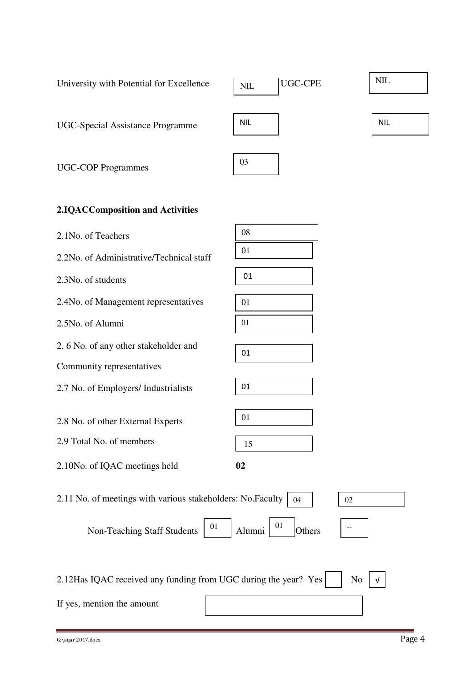| University with Potential for Excellence                        | <b>UGC-CPE</b><br>$NIL$ | <b>NIL</b> |
|-----------------------------------------------------------------|-------------------------|------------|
| <b>UGC-Special Assistance Programme</b>                         | <b>NIL</b>              | <b>NIL</b> |
| <b>UGC-COP Programmes</b>                                       | 03                      |            |
| 2.IQACComposition and Activities                                |                         |            |
| 2.1No. of Teachers                                              | 08                      |            |
| 2.2No. of Administrative/Technical staff                        | 01                      |            |
| 2.3No. of students                                              | 01                      |            |
| 2.4No. of Management representatives                            | 01                      |            |
| 2.5No. of Alumni                                                | 01                      |            |
| 2.6 No. of any other stakeholder and                            | 01                      |            |
| Community representatives                                       |                         |            |
| 2.7 No. of Employers/ Industrialists                            | 01                      |            |
| 2.8 No. of other External Experts                               | 01                      |            |
| 2.9 Total No. of members                                        | 15                      |            |
| 2.10No. of IQAC meetings held                                   | 02                      |            |
| 2.11 No. of meetings with various stakeholders: No. Faculty     | 02<br>04                |            |
| 01<br>Non-Teaching Staff Students                               | 01<br>Alumni<br>Others  |            |
| 2.12Has IQAC received any funding from UGC during the year? Yes | N <sub>o</sub>          |            |
| If yes, mention the amount                                      |                         |            |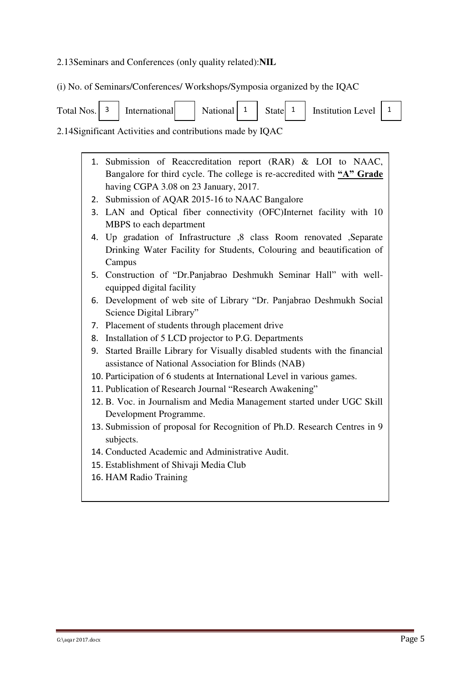#### 2.13Seminars and Conferences (only quality related):**NIL**

(i) No. of Seminars/Conferences/ Workshops/Symposia organized by the IQAC

|  |  |  |  | Total Nos. $\begin{vmatrix} 3 \end{vmatrix}$ International $\begin{vmatrix} 1 \end{vmatrix}$ National $\begin{vmatrix} 1 \end{vmatrix}$ State $\begin{vmatrix} 1 \end{vmatrix}$ Institution Level $\begin{vmatrix} 1 \end{vmatrix}$ |  |
|--|--|--|--|-------------------------------------------------------------------------------------------------------------------------------------------------------------------------------------------------------------------------------------|--|
|  |  |  |  |                                                                                                                                                                                                                                     |  |

2.14Significant Activities and contributions made by IQAC

| 1. Submission of Reaccreditation report (RAR) & LOI to NAAC,           |
|------------------------------------------------------------------------|
| Bangalore for third cycle. The college is re-accredited with "A" Grade |
| having CGPA 3.08 on 23 January, 2017.                                  |
|                                                                        |

- 2. Submission of AQAR 2015-16 to NAAC Bangalore
- 3. LAN and Optical fiber connectivity (OFC)Internet facility with 10 MBPS to each department
- 4. Up gradation of Infrastructure ,8 class Room renovated ,Separate Drinking Water Facility for Students, Colouring and beautification of Campus
- 5. Construction of "Dr.Panjabrao Deshmukh Seminar Hall" with wellequipped digital facility
- 6. Development of web site of Library "Dr. Panjabrao Deshmukh Social Science Digital Library"
- 7. Placement of students through placement drive
- 8. Installation of 5 LCD projector to P.G. Departments
- 9. Started Braille Library for Visually disabled students with the financial assistance of National Association for Blinds (NAB)
- 10. Participation of 6 students at International Level in various games.
- 11. Publication of Research Journal "Research Awakening"
- 12. B. Voc. in Journalism and Media Management started under UGC Skill Development Programme.
- 13. Submission of proposal for Recognition of Ph.D. Research Centres in 9 subjects.
- 14. Conducted Academic and Administrative Audit.
- 15. Establishment of Shivaji Media Club
- 16. HAM Radio Training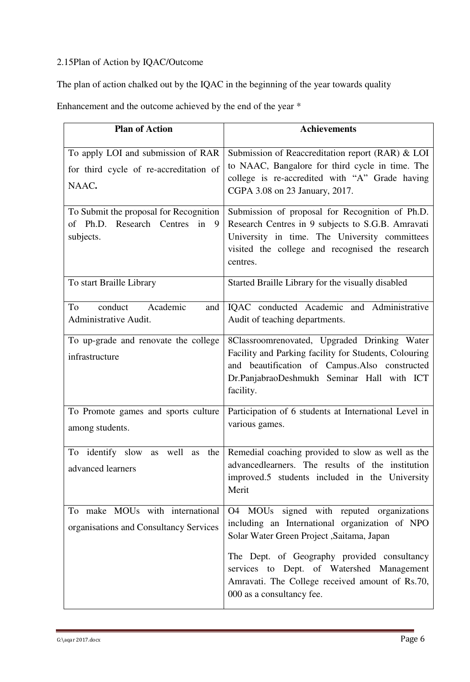## 2.15Plan of Action by IQAC/Outcome

The plan of action chalked out by the IQAC in the beginning of the year towards quality

Enhancement and the outcome achieved by the end of the year \*

| <b>Plan of Action</b>                                                                    | <b>Achievements</b>                                                                                                                                                                                                  |
|------------------------------------------------------------------------------------------|----------------------------------------------------------------------------------------------------------------------------------------------------------------------------------------------------------------------|
| To apply LOI and submission of RAR<br>for third cycle of re-accreditation of<br>NAAC.    | Submission of Reaccreditation report (RAR) & LOI<br>to NAAC, Bangalore for third cycle in time. The<br>college is re-accredited with "A" Grade having<br>CGPA 3.08 on 23 January, 2017.                              |
| To Submit the proposal for Recognition<br>of Ph.D. Research Centres in<br>9<br>subjects. | Submission of proposal for Recognition of Ph.D.<br>Research Centres in 9 subjects to S.G.B. Amravati<br>University in time. The University committees<br>visited the college and recognised the research<br>centres. |
| To start Braille Library                                                                 | Started Braille Library for the visually disabled                                                                                                                                                                    |
| conduct<br>Academic<br>To<br>and<br>Administrative Audit.                                | IQAC conducted Academic and Administrative<br>Audit of teaching departments.                                                                                                                                         |
| To up-grade and renovate the college<br>infrastructure                                   | 8Classroomrenovated, Upgraded Drinking Water<br>Facility and Parking facility for Students, Colouring<br>and beautification of Campus.Also constructed<br>Dr.PanjabraoDeshmukh Seminar Hall with ICT<br>facility.    |
| To Promote games and sports culture<br>among students.                                   | Participation of 6 students at International Level in<br>various games.                                                                                                                                              |
| well<br>To<br>identify slow<br>the<br>as<br>as<br>advanced learners                      | Remedial coaching provided to slow as well as the<br>advancedlearners. The results of the institution<br>improved.5 students included in the University<br>Merit                                                     |
| To make MOUs with international<br>organisations and Consultancy Services                | O4 MOUs signed with reputed organizations<br>including an International organization of NPO<br>Solar Water Green Project , Saitama, Japan                                                                            |
|                                                                                          | The Dept. of Geography provided consultancy<br>services to Dept. of Watershed Management<br>Amravati. The College received amount of Rs.70,<br>000 as a consultancy fee.                                             |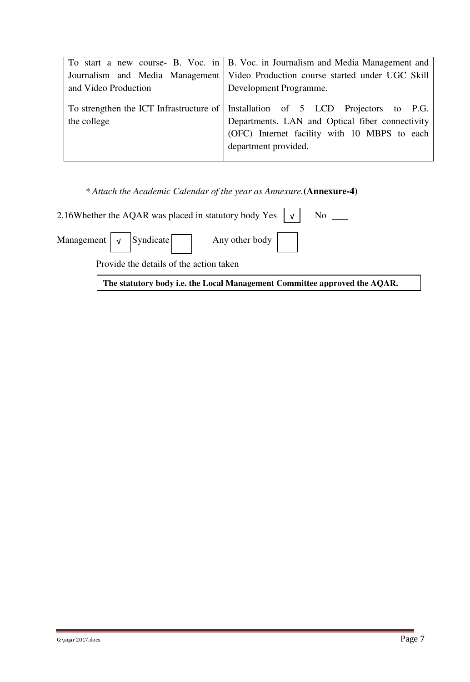|                      | To start a new course- B. Voc. in   B. Voc. in Journalism and Media Management and |  |  |  |
|----------------------|------------------------------------------------------------------------------------|--|--|--|
|                      | Journalism and Media Management   Video Production course started under UGC Skill  |  |  |  |
| and Video Production | Development Programme.                                                             |  |  |  |
|                      |                                                                                    |  |  |  |
|                      | To strengthen the ICT Infrastructure of Installation of 5 LCD Projectors to P.G.   |  |  |  |
| the college          | Departments. LAN and Optical fiber connectivity                                    |  |  |  |
|                      | (OFC) Internet facility with 10 MBPS to each                                       |  |  |  |
|                      | department provided.                                                               |  |  |  |
|                      |                                                                                    |  |  |  |

 *\* Attach the Academic Calendar of the year as Annexure.***(Annexure-4)**

| 2.16Whether the AQAR was placed in statutory body Yes $ v $ No $ v $      |  |
|---------------------------------------------------------------------------|--|
| Management $\sqrt{\sqrt{Syndicate}}$ Any other body                       |  |
| Provide the details of the action taken                                   |  |
| The statutory body i.e. the Local Management Committee approved the AQAR. |  |

 $\overline{G: \langle \text{aqar } 2017.\text{docx}}$  Page 7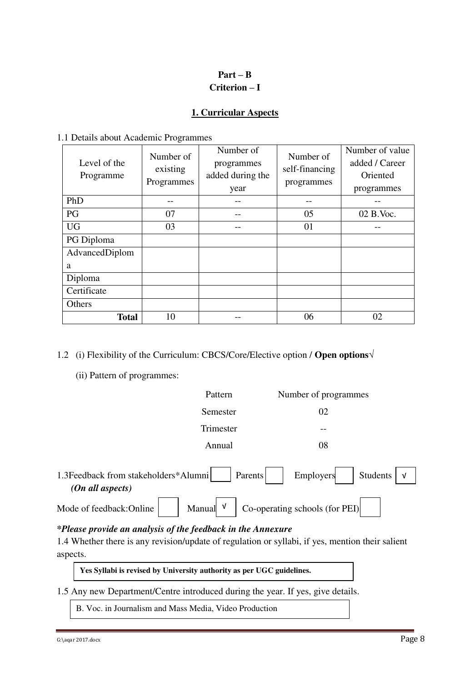## **Part – B Criterion – I**

### **1. Curricular Aspects**

#### 1.1 Details about Academic Programmes

| Level of the<br>Programme | Number of<br>existing<br>Programmes | Number of<br>programmes<br>added during the<br>year | Number of<br>self-financing<br>programmes | Number of value<br>added / Career<br>Oriented<br>programmes |
|---------------------------|-------------------------------------|-----------------------------------------------------|-------------------------------------------|-------------------------------------------------------------|
| PhD                       |                                     |                                                     |                                           |                                                             |
| PG                        | 07                                  |                                                     | 05                                        | 02 B.Voc.                                                   |
| <b>UG</b>                 | 03                                  |                                                     | 01                                        |                                                             |
| PG Diploma                |                                     |                                                     |                                           |                                                             |
| AdvancedDiplom            |                                     |                                                     |                                           |                                                             |
| a                         |                                     |                                                     |                                           |                                                             |
| Diploma                   |                                     |                                                     |                                           |                                                             |
| Certificate               |                                     |                                                     |                                           |                                                             |
| Others                    |                                     |                                                     |                                           |                                                             |
| <b>Total</b>              | 10                                  |                                                     | 06                                        | 02                                                          |

### 1.2 (i) Flexibility of the Curriculum: CBCS/Core/Elective option / **Open options√**

(ii) Pattern of programmes:

|                                                                | Pattern     | Number of programmes                |  |
|----------------------------------------------------------------|-------------|-------------------------------------|--|
|                                                                | Semester    | 02                                  |  |
|                                                                | Trimester   |                                     |  |
|                                                                | Annual      | 08                                  |  |
| 1.3Feedback from stakeholders*Alumni<br>$(On \ all \ aspects)$ | Parents     | Employers<br>Students<br>$\sqrt{ }$ |  |
| Mode of feedback:Online                                        | V<br>Manual | Co-operating schools (for PEI)      |  |

#### *\*Please provide an analysis of the feedback in the Annexure*

1.4 Whether there is any revision/update of regulation or syllabi, if yes, mention their salient aspects.

**Yes Syllabi is revised by University authority as per UGC guidelines.** 

1.5 Any new Department/Centre introduced during the year. If yes, give details.

B. Voc. in Journalism and Mass Media, Video Production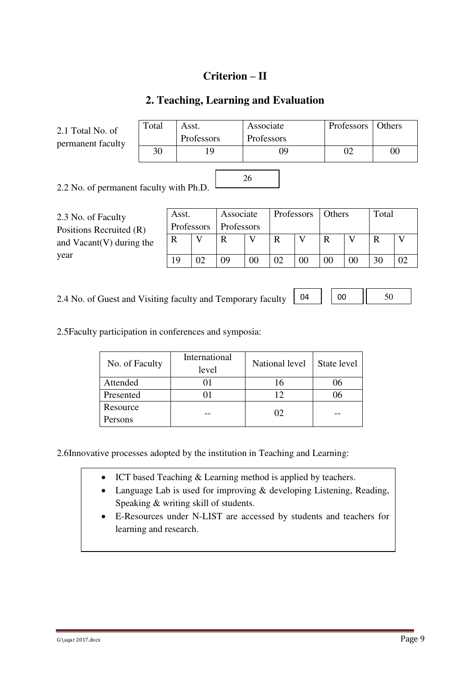## **Criterion – II**

## **2. Teaching, Learning and Evaluation**

2.1 Total No. of permanent faculty

| Total | Asst.      | Associate  | Professors   Others |  |
|-------|------------|------------|---------------------|--|
|       | Professors | Professors |                     |  |
| 30    |            | Ŋg         |                     |  |
|       |            |            |                     |  |

2.2 No. of permanent faculty with Ph.D.

2.3 No. of Faculty Positions Recruited (R) and Vacant(V) during the year

| Asst.      | Associate         | Professors | Others | Total |    |
|------------|-------------------|------------|--------|-------|----|
| Professors | <b>Professors</b> |            |        |       |    |
|            |                   |            |        | R     |    |
|            |                   |            |        |       |    |
| ۱۹         | ΩQ                |            |        | 30    | ∩ว |

04

2.4 No. of Guest and Visiting faculty and Temporary faculty

 $00$  || 50

2.5Faculty participation in conferences and symposia:

| No. of Faculty | International<br>level | National level | State level |
|----------------|------------------------|----------------|-------------|
| Attended       |                        |                | 96          |
| Presented      |                        |                | 16          |
| Resource       |                        | 02             |             |
| Persons        |                        |                |             |

2.6Innovative processes adopted by the institution in Teaching and Learning:

- ICT based Teaching & Learning method is applied by teachers.
- Language Lab is used for improving & developing Listening, Reading, Speaking & writing skill of students.
- E-Resources under N-LIST are accessed by students and teachers for learning and research.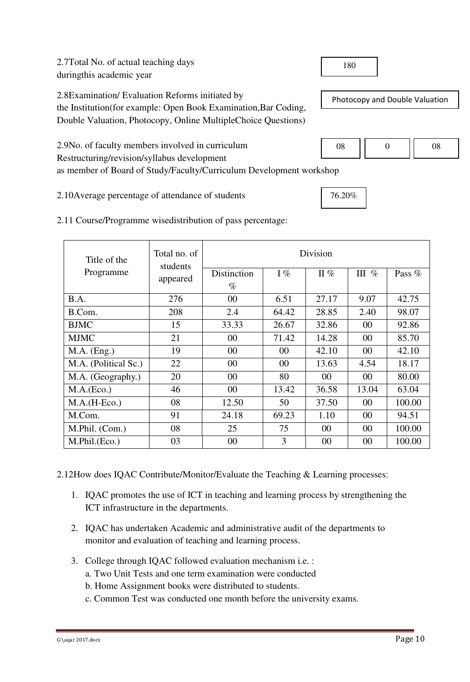2.7Total No. of actual teaching days duringthis academic year

2.8Examination/ Evaluation Reforms initiated by the Institution(for example: Open Book Examination,Bar Coding, Double Valuation, Photocopy, Online MultipleChoice Questions)

2.9No. of faculty members involved in curriculum Restructuring/revision/syllabus development as member of Board of Study/Faculty/Curriculum Development workshop

2.10Average percentage of attendance of students

| Title of the         | Total no. of<br>students | Division    |        |        |         |          |  |
|----------------------|--------------------------|-------------|--------|--------|---------|----------|--|
| Programme            | appeared                 | Distinction | $I\%$  | II $%$ | III $%$ | Pass $%$ |  |
|                      |                          | $\%$        |        |        |         |          |  |
| B.A.                 | 276                      | 00          | 6.51   | 27.17  | 9.07    | 42.75    |  |
| B.Com.               | 208                      | 2.4         | 64.42  | 28.85  | 2.40    | 98.07    |  |
| <b>BJMC</b>          | 15                       | 33.33       | 26.67  | 32.86  | 00      | 92.86    |  |
| <b>MJMC</b>          | 21                       | 00          | 71.42  | 14.28  | 00      | 85.70    |  |
| $M.A.$ (Eng.)        | 19                       | 00          | 00     | 42.10  | 00      | 42.10    |  |
| M.A. (Political Sc.) | 22                       | 00          | $00\,$ | 13.63  | 4.54    | 18.17    |  |
| M.A. (Geography.)    | 20                       | 00          | 80     | 00     | 00      | 80.00    |  |
| M.A.(Eco.)           | 46                       | $00\,$      | 13.42  | 36.58  | 13.04   | 63.04    |  |
| $M.A.(H-Eco.)$       | 08                       | 12.50       | 50     | 37.50  | 00      | 100.00   |  |
| M.Com.               | 91                       | 24.18       | 69.23  | 1.10   | 00      | 94.51    |  |
| M.Phil. (Com.)       | 08                       | 25          | 75     | $00\,$ | 00      | 100.00   |  |
| M.Phil.(Eco.)        | 03                       | 00          | 3      | 00     | 00      | 100.00   |  |

2.11 Course/Programme wisedistribution of pass percentage:

2.12How does IQAC Contribute/Monitor/Evaluate the Teaching & Learning processes:

- 1. IQAC promotes the use of ICT in teaching and learning process by strengthening the ICT infrastructure in the departments.
- 2. IQAC has undertaken Academic and administrative audit of the departments to monitor and evaluation of teaching and learning process.
- 3. College through IQAC followed evaluation mechanism i.e. :
	- a. Two Unit Tests and one term examination were conducted
	- b. Home Assignment books were distributed to students.
	- c. Common Test was conducted one month before the university exams.

180

Photocopy and Double Valuation

| ٦o<br>ັັ |  |
|----------|--|
|          |  |

76.20%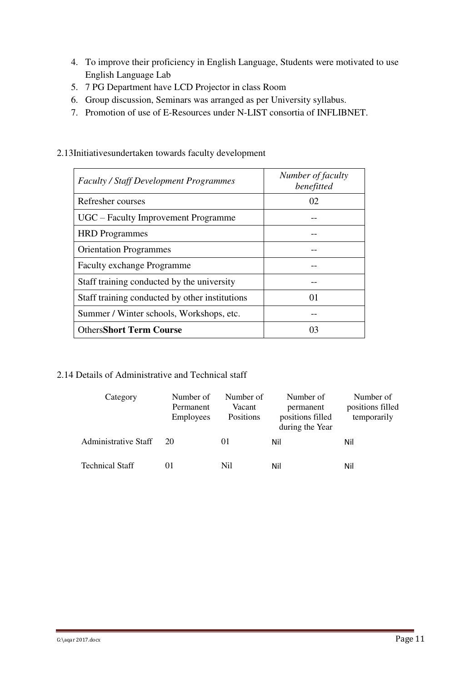- 4. To improve their proficiency in English Language, Students were motivated to use English Language Lab
- 5. 7 PG Department have LCD Projector in class Room
- 6. Group discussion, Seminars was arranged as per University syllabus.
- 7. Promotion of use of E-Resources under N-LIST consortia of INFLIBNET.

| <b>Faculty / Staff Development Programmes</b>  | Number of faculty<br>benefitted |
|------------------------------------------------|---------------------------------|
| Refresher courses                              | 02                              |
| UGC – Faculty Improvement Programme            |                                 |
| <b>HRD</b> Programmes                          |                                 |
| <b>Orientation Programmes</b>                  |                                 |
| <b>Faculty exchange Programme</b>              |                                 |
| Staff training conducted by the university     |                                 |
| Staff training conducted by other institutions | $\Omega$                        |
| Summer / Winter schools, Workshops, etc.       |                                 |
| <b>OthersShort Term Course</b>                 |                                 |

2.13Initiativesundertaken towards faculty development

### 2.14 Details of Administrative and Technical staff

| Category                    | Number of<br>Permanent<br><b>Employees</b> | Number of<br>Vacant<br>Positions | Number of<br>permanent<br>positions filled<br>during the Year | Number of<br>positions filled<br>temporarily |
|-----------------------------|--------------------------------------------|----------------------------------|---------------------------------------------------------------|----------------------------------------------|
| <b>Administrative Staff</b> | 20                                         | $_{01}$                          | Nil                                                           | Nil                                          |
| <b>Technical Staff</b>      | $_{01}$                                    | Nil                              | Nil                                                           | Nil                                          |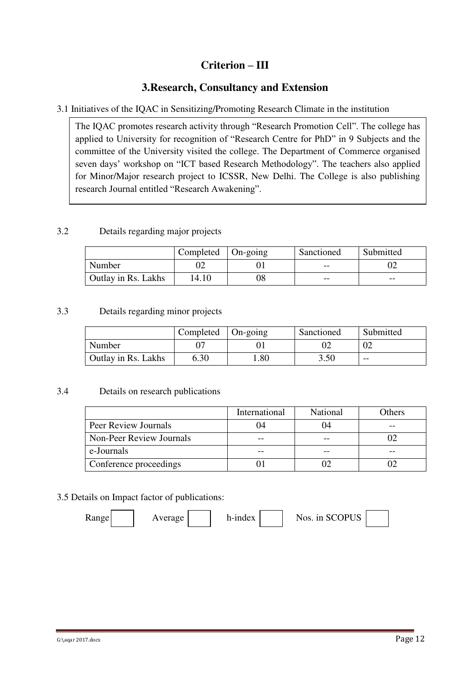## **Criterion – III**

## **3.Research, Consultancy and Extension**

### 3.1 Initiatives of the IQAC in Sensitizing/Promoting Research Climate in the institution

The IQAC promotes research activity through "Research Promotion Cell". The college has applied to University for recognition of "Research Centre for PhD" in 9 Subjects and the committee of the University visited the college. The Department of Commerce organised seven days' workshop on "ICT based Research Methodology". The teachers also applied for Minor/Major research project to ICSSR, New Delhi. The College is also publishing research Journal entitled "Research Awakening".

### 3.2 Details regarding major projects

|                     | Completed | $\Box$ On-going | Sanctioned | Submitted |
|---------------------|-----------|-----------------|------------|-----------|
| Number              |           |                 | $- -$      |           |
| Outlay in Rs. Lakhs | 14.10     |                 | $- -$      | $- -$     |

#### 3.3 Details regarding minor projects

|                            | Completed | $On\text{-going}$ | Sanctioned | Submitted |
|----------------------------|-----------|-------------------|------------|-----------|
| Number                     |           |                   |            |           |
| <b>Outlay in Rs. Lakhs</b> | 6.30      | .80               | 3.50       | $- -$     |

### 3.4 Details on research publications

|                          | International | National | Others |
|--------------------------|---------------|----------|--------|
| Peer Review Journals     |               |          |        |
| Non-Peer Review Journals |               |          |        |
| e-Journals               |               |          |        |
| Conference proceedings   |               |          |        |

### 3.5 Details on Impact factor of publications:

| Kange | Average | h-index | Nos. in SCOPUS |  |
|-------|---------|---------|----------------|--|
|-------|---------|---------|----------------|--|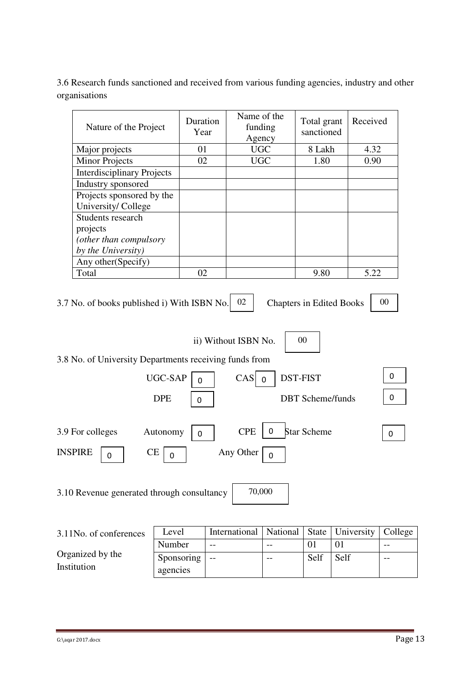3.6 Research funds sanctioned and received from various funding agencies, industry and other organisations

| Nature of the Project             | Duration<br>Year | Name of the<br>funding<br>Agency | Total grant<br>sanctioned | Received |
|-----------------------------------|------------------|----------------------------------|---------------------------|----------|
| Major projects                    | 01               | <b>UGC</b>                       | 8 Lakh                    | 4.32     |
| <b>Minor Projects</b>             | 02               | <b>UGC</b>                       | 1.80                      | 0.90     |
| <b>Interdisciplinary Projects</b> |                  |                                  |                           |          |
| Industry sponsored                |                  |                                  |                           |          |
| Projects sponsored by the         |                  |                                  |                           |          |
| University/College                |                  |                                  |                           |          |
| Students research                 |                  |                                  |                           |          |
| projects                          |                  |                                  |                           |          |
| (other than compulsory            |                  |                                  |                           |          |
| by the University)                |                  |                                  |                           |          |
| Any other (Specify)               |                  |                                  |                           |          |
| Total                             | 02               |                                  | 9.80                      | 5.22     |

3.7 No. of books published i) With ISBN No.  $\begin{bmatrix} 0.2 \end{bmatrix}$ 

Chapters in Edited Books | 00

00

ii) Without ISBN No.

3.8 No. of University Departments receiving funds from

|                                         | UGC-SAP<br>$\mathbf 0$                 | DST-FIST<br>CAS<br>$\overline{\mathbf{0}}$       |          |
|-----------------------------------------|----------------------------------------|--------------------------------------------------|----------|
|                                         | <b>DPE</b><br>0                        | <b>DBT</b> Scheme/funds                          |          |
| 3.9 For colleges<br><b>INSPIRE</b><br>0 | Autonomy<br>0<br><b>CE</b><br>$\Omega$ | <b>CPE</b><br>Star Scheme<br>0<br>Any Other<br>0 | $\Omega$ |

3.10 Revenue generated through consultancy 70,000

| 3.11No. of conferences | Level      | International   National   State   University   College |       |      |      |       |
|------------------------|------------|---------------------------------------------------------|-------|------|------|-------|
|                        | Number     | $- -$                                                   | $- -$ |      |      | $- -$ |
| Organized by the       | Sponsoring | $- -$                                                   | $- -$ | Self | Self | $- -$ |
| Institution            | agencies   |                                                         |       |      |      |       |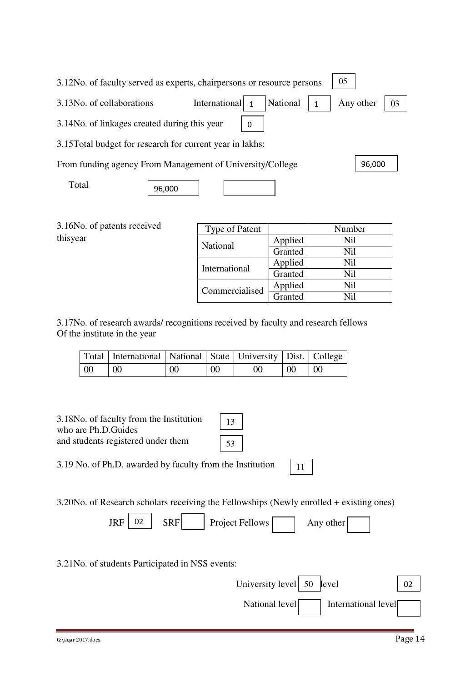| 3.12No. of faculty served as experts, chairpersons or resource persons | 05                 |          |           |    |
|------------------------------------------------------------------------|--------------------|----------|-----------|----|
| 3.13No. of collaborations                                              | International<br>1 | National | Any other | 03 |
| 3.14 No. of linkages created during this year                          | 0                  |          |           |    |
| 3.15 Total budget for research for current year in lakhs:              |                    |          |           |    |
| From funding agency From Management of University/College              |                    |          | 96,000    |    |
| Total<br>96,000                                                        |                    |          |           |    |
|                                                                        |                    |          |           |    |

|          | 3.16No. of patents received |
|----------|-----------------------------|
| thisyear |                             |

| Type of Patent  |         | Number  |
|-----------------|---------|---------|
| <b>National</b> | Applied | Nil     |
|                 | Granted | Nil     |
| International   | Applied | Ni1     |
|                 | Granted | Ni1     |
|                 | Applied | Nil     |
| Commercialised  | Granted | $N_{1}$ |

National level International level

3.17No. of research awards/ recognitions received by faculty and research fellows Of the institute in the year

|     | Total   International   National   State   University   Dist.   College |    |    |                 |    |     |
|-----|-------------------------------------------------------------------------|----|----|-----------------|----|-----|
| -00 | $\mid 00$                                                               | 00 | 00 | 00 <sup>°</sup> | 00 | -00 |

| 3.18 No. of faculty from the Institution<br>13<br>who are Ph.D. Guides<br>and students registered under them<br>53 |    |
|--------------------------------------------------------------------------------------------------------------------|----|
| 3.19 No. of Ph.D. awarded by faculty from the Institution<br>11                                                    |    |
| 3.20No. of Research scholars receiving the Fellowships (Newly enrolled + existing ones)                            |    |
| 02<br><b>JRF</b><br><b>SRF</b><br>Project Fellows<br>Any other                                                     |    |
| 3.21 No. of students Participated in NSS events:                                                                   |    |
| University level<br>50<br>level                                                                                    | 02 |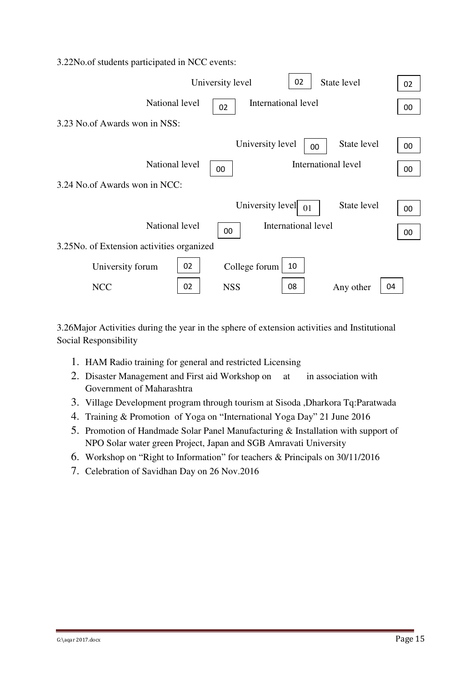|  |  |  | 3.22No.of students participated in NCC events: |  |  |  |
|--|--|--|------------------------------------------------|--|--|--|
|--|--|--|------------------------------------------------|--|--|--|

|                                            |    | University level | 02                     | State level         | 02 |
|--------------------------------------------|----|------------------|------------------------|---------------------|----|
| National level                             |    | 02               | International level    |                     | 00 |
| 3.23 No.of Awards won in NSS:              |    |                  |                        |                     |    |
|                                            |    |                  | University level       | State level<br>00   | 00 |
| National level                             |    | 00               |                        | International level | 00 |
| 3.24 No.of Awards won in NCC:              |    |                  |                        |                     |    |
|                                            |    |                  | University level<br>01 | State level         | 00 |
| National level                             |    | 00               | International level    |                     | 00 |
| 3.25 No. of Extension activities organized |    |                  |                        |                     |    |
| University forum                           | 02 | College forum    | 10                     |                     |    |
| <b>NCC</b>                                 | 02 | <b>NSS</b>       | 08                     | Any other           | 04 |

3.26Major Activities during the year in the sphere of extension activities and Institutional Social Responsibility

- 1. HAM Radio training for general and restricted Licensing
- 2. Disaster Management and First aid Workshop on at in association with Government of Maharashtra
- 3. Village Development program through tourism at Sisoda ,Dharkora Tq:Paratwada
- 4. Training & Promotion of Yoga on "International Yoga Day" 21 June 2016
- 5. Promotion of Handmade Solar Panel Manufacturing & Installation with support of NPO Solar water green Project, Japan and SGB Amravati University
- 6. Workshop on "Right to Information" for teachers & Principals on 30/11/2016
- 7. Celebration of Savidhan Day on 26 Nov.2016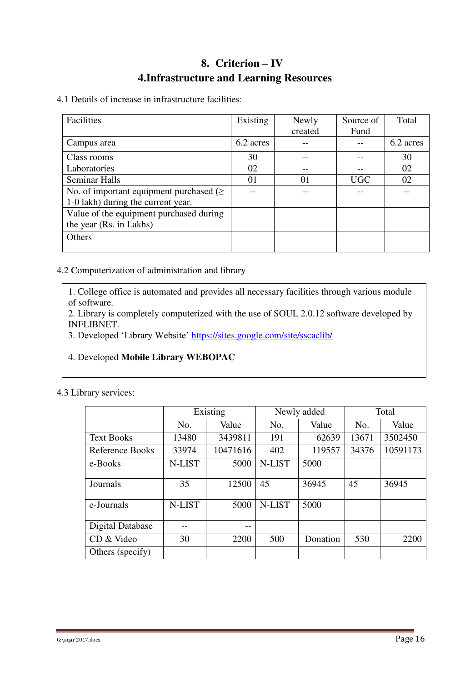## **8. Criterion – IV 4.Infrastructure and Learning Resources**

4.1 Details of increase in infrastructure facilities:

| Facilities                                    | Existing  | Newly   | Source of  | Total     |
|-----------------------------------------------|-----------|---------|------------|-----------|
|                                               |           | created | Fund       |           |
| Campus area                                   | 6.2 acres |         |            | 6.2 acres |
| Class rooms                                   | 30        |         |            | 30        |
| Laboratories                                  | 02        |         |            | 02        |
| <b>Seminar Halls</b>                          | $\Omega$  | 01      | <b>UGC</b> | 02        |
| No. of important equipment purchased ( $\geq$ |           |         |            |           |
| 1-0 lakh) during the current year.            |           |         |            |           |
| Value of the equipment purchased during       |           |         |            |           |
| the year (Rs. in Lakhs)                       |           |         |            |           |
| Others                                        |           |         |            |           |
|                                               |           |         |            |           |

### 4.2 Computerization of administration and library

1. College office is automated and provides all necessary facilities through various module of software.

2. Library is completely computerized with the use of SOUL 2.0.12 software developed by INFLIBNET.

3. Developed 'Library Website' <https://sites.google.com/site/sscaclib/>

### 4. Developed **Mobile Library WEBOPAC**

#### 4.3 Library services:

|                   | Existing |          |              | Newly added | Total |          |
|-------------------|----------|----------|--------------|-------------|-------|----------|
|                   | No.      | Value    | Value<br>No. |             | No.   | Value    |
| <b>Text Books</b> | 13480    | 3439811  | 191          | 62639       | 13671 | 3502450  |
| Reference Books   | 33974    | 10471616 | 402          | 119557      | 34376 | 10591173 |
| e-Books           | N-LIST   | 5000     | N-LIST       | 5000        |       |          |
| Journals          | 35       | 12500    | 45           | 36945       | 45    | 36945    |
| e-Journals        | N-LIST   | 5000     | N-LIST       | 5000        |       |          |
| Digital Database  |          | --       |              |             |       |          |
| CD & Video        | 30       | 2200     | 500          | Donation    | 530   | 2200     |
| Others (specify)  |          |          |              |             |       |          |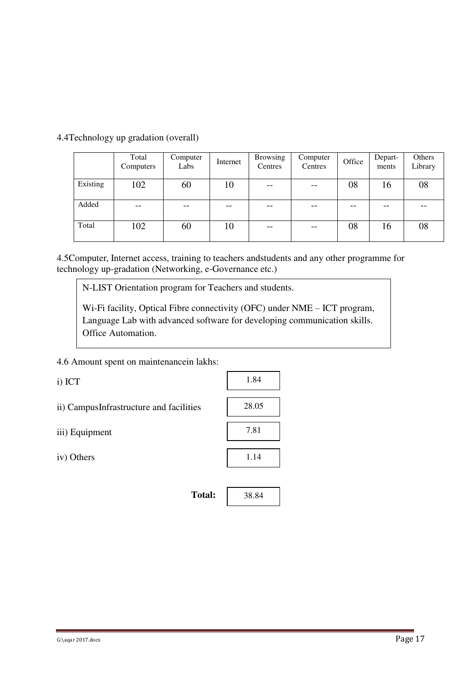|          | Total<br>Computers | Computer<br>Labs | Internet | <b>Browsing</b><br>Centres            | Computer<br>Centres | Office | Depart-<br>ments | Others<br>Library |
|----------|--------------------|------------------|----------|---------------------------------------|---------------------|--------|------------------|-------------------|
| Existing | 102                | 60               | 10       | $\hspace{0.05cm}$ – $\hspace{0.05cm}$ | $- -$               | 08     | 16               | 08                |
| Added    | --                 |                  |          | --                                    | $- -$               | --     |                  |                   |
| Total    | 102                | 60               | 10       | $- -$                                 | $- -$               | 08     | 16               | 08                |

4.4Technology up gradation (overall)

4.5Computer, Internet access, training to teachers andstudents and any other programme for technology up-gradation (Networking, e-Governance etc.)

N-LIST Orientation program for Teachers and students.

Wi-Fi facility, Optical Fibre connectivity (OFC) under NME – ICT program, Language Lab with advanced software for developing communication skills. Office Automation.

#### 4.6 Amount spent on maintenancein lakhs:

i) ICT

- ii) CampusInfrastructure and facilities
- iii) Equipment

iv) Others

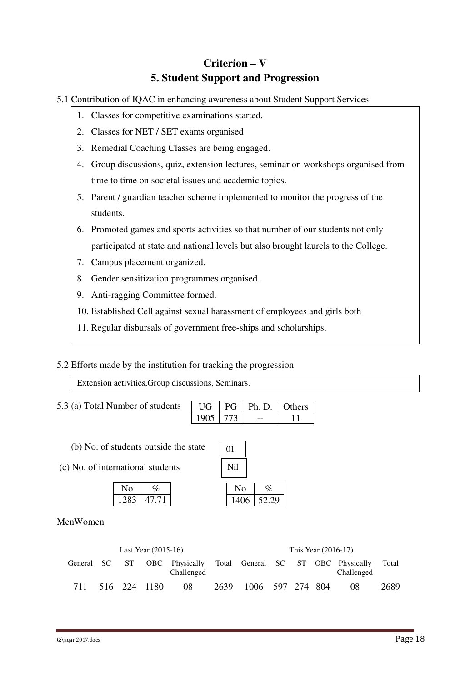## **Criterion – V 5. Student Support and Progression**

- 5.1 Contribution of IQAC in enhancing awareness about Student Support Services
	- 1. Classes for competitive examinations started.
	- 2. Classes for NET / SET exams organised
	- 3. Remedial Coaching Classes are being engaged.
	- 4. Group discussions, quiz, extension lectures, seminar on workshops organised from time to time on societal issues and academic topics.
	- 5. Parent / guardian teacher scheme implemented to monitor the progress of the students.
	- 6. Promoted games and sports activities so that number of our students not only participated at state and national levels but also brought laurels to the College.
	- 7. Campus placement organized.
	- 8. Gender sensitization programmes organised.
	- 9. Anti-ragging Committee formed.
	- 10. Established Cell against sexual harassment of employees and girls both
	- 11. Regular disbursals of government free-ships and scholarships.

### 5.2 Efforts made by the institution for tracking the progression

Extension activities,Group discussions, Seminars.

5.3 (a) Total Number of students

|  | 'n. D. | <i>rhers</i> |
|--|--------|--------------|
|  |        |              |

- (b) No. of students outside the state
- (c) No. of international students

| Ω             |       |
|---------------|-------|
| $\rightarrow$ | 47.71 |

| 01   |       |
|------|-------|
| Nil  |       |
| No   | %     |
| 1406 | 52.29 |

### MenWomen

| Last Year $(2015-16)$ |  |  |              | This Year (2016-17)                                                           |      |                  |  |  |  |            |       |
|-----------------------|--|--|--------------|-------------------------------------------------------------------------------|------|------------------|--|--|--|------------|-------|
|                       |  |  |              | General SC ST OBC Physically Total General SC ST OBC Physically<br>Challenged |      |                  |  |  |  | Challenged | Total |
|                       |  |  | 516 224 1180 | -08                                                                           | 2639 | 1006 597 274 804 |  |  |  | 08         | 2689  |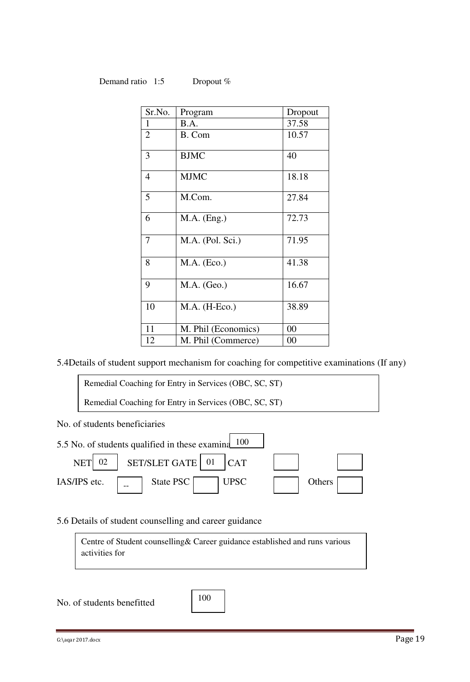#### Demand ratio 1:5 Dropout %

| Sr.No.         | Program             | Dropout |
|----------------|---------------------|---------|
| 1              | B.A.                | 37.58   |
| $\overline{2}$ | B. Com              | 10.57   |
| 3              | <b>BJMC</b>         | 40      |
| $\overline{4}$ | <b>MJMC</b>         | 18.18   |
| 5              | M.Com.              | 27.84   |
| 6              | $M.A.$ (Eng.)       | 72.73   |
| 7              | M.A. (Pol. Sci.)    | 71.95   |
| 8              | $M.A.$ (Eco.)       | 41.38   |
| 9              | $M.A.$ (Geo.)       | 16.67   |
| 10             | M.A. (H-Eco.)       | 38.89   |
| 11             | M. Phil (Economics) | 00      |
| 12             | M. Phil (Commerce)  | $00\,$  |

5.4Details of student support mechanism for coaching for competitive examinations (If any)

Remedial Coaching for Entry in Services (OBC, SC, ST) Remedial Coaching for Entry in Services (OBC, SC, ST)

No. of students beneficiaries



5.6 Details of student counselling and career guidance

Centre of Student counselling& Career guidance established and runs various activities for

No. of students benefitted

100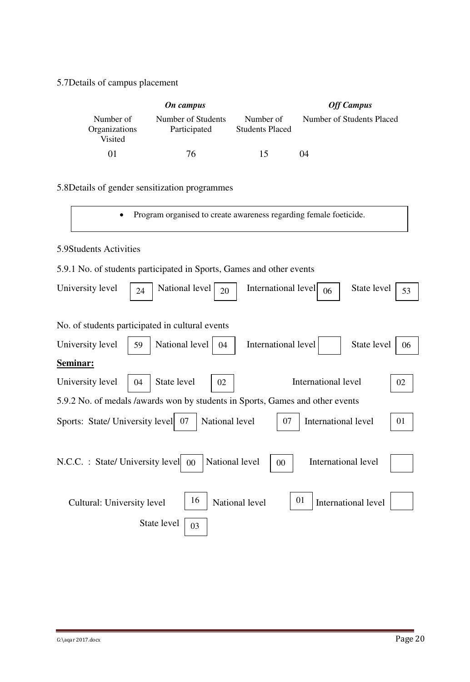## 5.7Details of campus placement

|                                       | On campus                          | <b>Off Campus</b>                   |                           |
|---------------------------------------|------------------------------------|-------------------------------------|---------------------------|
| Number of<br>Organizations<br>Visited | Number of Students<br>Participated | Number of<br><b>Students Placed</b> | Number of Students Placed |
| $^{01}$                               | 76                                 | 15                                  | 04                        |

## 5.8Details of gender sensitization programmes

Program organised to create awareness regarding female foeticide.

### 5.9Students Activities

### 5.9.1 No. of students participated in Sports, Games and other events

| University level                                                              | 24                   | National level<br>20     | International level | 06                  | State level         | 53 |  |
|-------------------------------------------------------------------------------|----------------------|--------------------------|---------------------|---------------------|---------------------|----|--|
|                                                                               |                      |                          |                     |                     |                     |    |  |
| No. of students participated in cultural events                               |                      |                          |                     |                     |                     |    |  |
| University level                                                              | National level<br>59 | 04                       | International level |                     | State level         | 06 |  |
| <b>Seminar:</b>                                                               |                      |                          |                     |                     |                     |    |  |
| University level                                                              | State level<br>04    | 02                       |                     | International level |                     | 02 |  |
| 5.9.2 No. of medals /awards won by students in Sports, Games and other events |                      |                          |                     |                     |                     |    |  |
| Sports: State/ University level 07                                            |                      | National level           | 07                  | International level |                     | 01 |  |
| N.C.C. : State/ University level                                              |                      | National level<br>$00\,$ | 00                  | International level |                     |    |  |
| Cultural: University level                                                    |                      | 16<br>National level     |                     | 01                  | International level |    |  |
|                                                                               | State level          | 03                       |                     |                     |                     |    |  |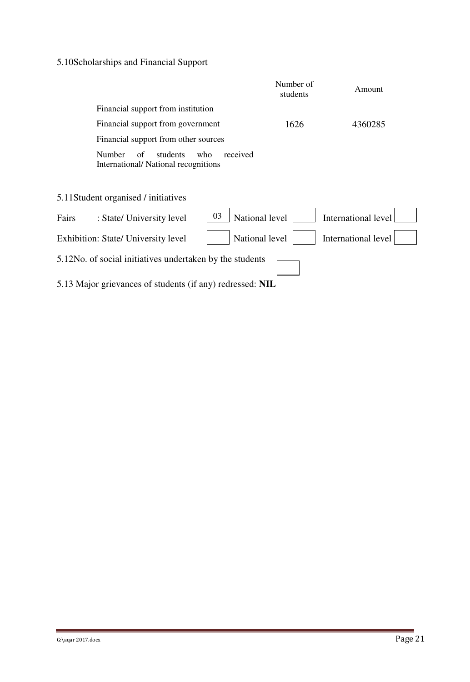## 5.10Scholarships and Financial Support

|                                                                                           | Number of<br>students | Amount              |
|-------------------------------------------------------------------------------------------|-----------------------|---------------------|
| Financial support from institution                                                        |                       |                     |
| Financial support from government                                                         | 1626                  | 4360285             |
| Financial support from other sources                                                      |                       |                     |
| <b>Number</b><br>students<br>received<br>of<br>who<br>International/National recognitions |                       |                     |
| 5.11Student organised / initiatives                                                       |                       |                     |
| 03<br>Fairs<br>: State/ University level                                                  | National level        | International level |
| <b>Exhibition: State/ University level</b>                                                | National level        | International level |
| 5.12No. of social initiatives undertaken by the students                                  |                       |                     |
| 5.13 Major grievances of students (if any) redressed: NIL                                 |                       |                     |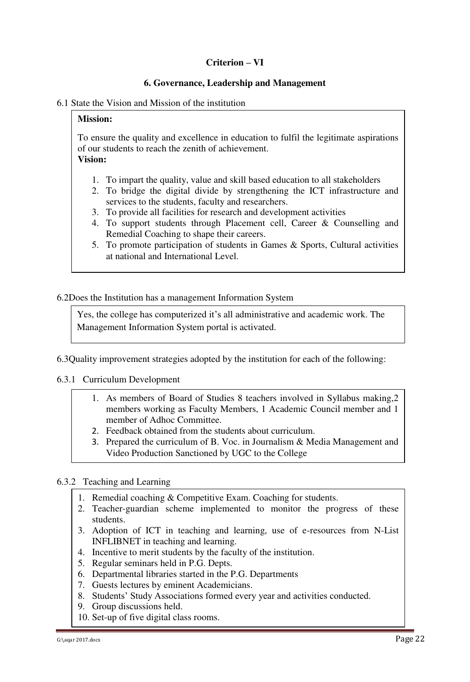#### **Criterion – VI**

#### **6. Governance, Leadership and Management**

#### 6.1 State the Vision and Mission of the institution

#### **Mission:**

To ensure the quality and excellence in education to fulfil the legitimate aspirations of our students to reach the zenith of achievement. **Vision:**

- 1. To impart the quality, value and skill based education to all stakeholders
- 2. To bridge the digital divide by strengthening the ICT infrastructure and services to the students, faculty and researchers.
- 3. To provide all facilities for research and development activities
- 4. To support students through Placement cell, Career & Counselling and Remedial Coaching to shape their careers.
- 5. To promote participation of students in Games & Sports, Cultural activities at national and International Level.

#### 6.2Does the Institution has a management Information System

Yes, the college has computerized it's all administrative and academic work. The Management Information System portal is activated.

6.3Quality improvement strategies adopted by the institution for each of the following:

#### 6.3.1 Curriculum Development

- 1. As members of Board of Studies 8 teachers involved in Syllabus making,2 members working as Faculty Members, 1 Academic Council member and 1 member of Adhoc Committee.
- 2. Feedback obtained from the students about curriculum.
- 3. Prepared the curriculum of B. Voc. in Journalism & Media Management and Video Production Sanctioned by UGC to the College

#### 6.3.2 Teaching and Learning

- 1. Remedial coaching & Competitive Exam. Coaching for students.
- 2. Teacher-guardian scheme implemented to monitor the progress of these students.
- 3. Adoption of ICT in teaching and learning, use of e-resources from N-List INFLIBNET in teaching and learning.
- 4. Incentive to merit students by the faculty of the institution.
- 5. Regular seminars held in P.G. Depts.
- 6. Departmental libraries started in the P.G. Departments
- 7. Guests lectures by eminent Academicians.
- 8. Students' Study Associations formed every year and activities conducted.
- 9. Group discussions held.
- 10. Set-up of five digital class rooms.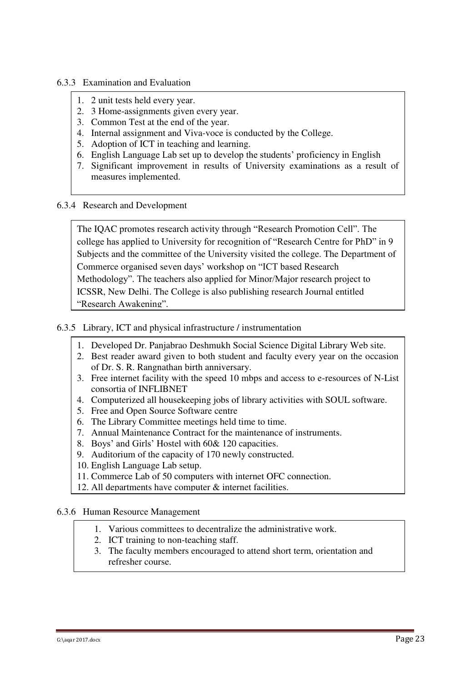#### 6.3.3 Examination and Evaluation

- 1. 2 unit tests held every year.
- 2. 3 Home-assignments given every year.
- 3. Common Test at the end of the year.
- 4. Internal assignment and Viva-voce is conducted by the College.
- 5. Adoption of ICT in teaching and learning.
- 6. English Language Lab set up to develop the students' proficiency in English
- 7. Significant improvement in results of University examinations as a result of measures implemented.
- 6.3.4 Research and Development

The IQAC promotes research activity through "Research Promotion Cell". The college has applied to University for recognition of "Research Centre for PhD" in 9 Subjects and the committee of the University visited the college. The Department of Commerce organised seven days' workshop on "ICT based Research Methodology". The teachers also applied for Minor/Major research project to ICSSR, New Delhi. The College is also publishing research Journal entitled "Research Awakening".

#### 6.3.5 Library, ICT and physical infrastructure / instrumentation

- 1. Developed Dr. Panjabrao Deshmukh Social Science Digital Library Web site.
- 2. Best reader award given to both student and faculty every year on the occasion of Dr. S. R. Rangnathan birth anniversary.
- 3. Free internet facility with the speed 10 mbps and access to e-resources of N-List consortia of INFLIBNET
- 4. Computerized all housekeeping jobs of library activities with SOUL software.
- 5. Free and Open Source Software centre
- 6. The Library Committee meetings held time to time.
- 7. Annual Maintenance Contract for the maintenance of instruments.
- 8. Boys' and Girls' Hostel with 60& 120 capacities.
- 9. Auditorium of the capacity of 170 newly constructed.
- 10. English Language Lab setup.
- 11. Commerce Lab of 50 computers with internet OFC connection.
- 12. All departments have computer & internet facilities.

#### 6.3.6 Human Resource Management

- 1. Various committees to decentralize the administrative work.
- 2. ICT training to non-teaching staff.
- 3. The faculty members encouraged to attend short term, orientation and refresher course.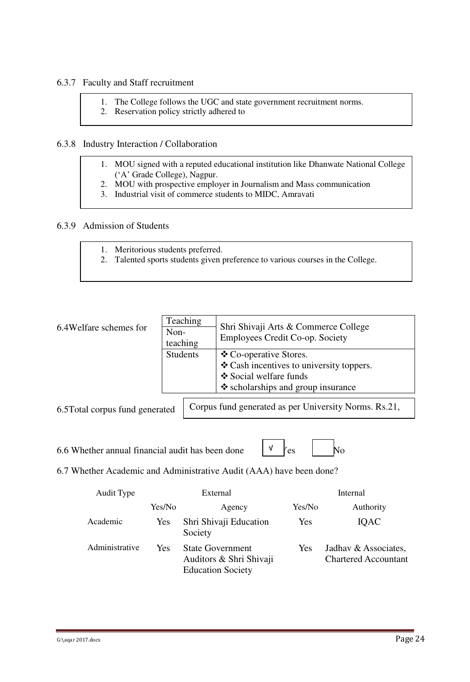#### 6.3.7 Faculty and Staff recruitment

- 1. The College follows the UGC and state government recruitment norms.
- 2. Reservation policy strictly adhered to

#### 6.3.8 Industry Interaction / Collaboration

- 1. MOU signed with a reputed educational institution like Dhanwate National College ('A' Grade College), Nagpur.
- 2. MOU with prospective employer in Journalism and Mass communication
- 3. Industrial visit of commerce students to MIDC, Amravati

#### 6.3.9 Admission of Students

- 1. Meritorious students preferred.
- 2. Talented sports students given preference to various courses in the College.

| Teaching<br>Non-<br>teaching    | Shri Shivaji Arts & Commerce College<br>Employees Credit Co-op. Society |  |  |
|---------------------------------|-------------------------------------------------------------------------|--|--|
| <b>Students</b>                 | ❖ Co-operative Stores.                                                  |  |  |
|                                 | $\triangle$ Cash incentives to university toppers.                      |  |  |
|                                 | ❖ Social welfare funds                                                  |  |  |
|                                 | $\triangle$ scholarships and group insurance                            |  |  |
| 6.5 Total corpus fund generated | Corpus fund generated as per University Norms. Rs.21,                   |  |  |
|                                 |                                                                         |  |  |

470/-.

6.6 Whether annual financial audit has been done  $\forall$  /es  $\mid \forall$  No

√

6.7 Whether Academic and Administrative Audit (AAA) have been done?

| Audit Type     |        | External                                                                       | Internal |                                                     |  |
|----------------|--------|--------------------------------------------------------------------------------|----------|-----------------------------------------------------|--|
|                | Yes/No | Agency                                                                         | Yes/No   | Authority                                           |  |
| Academic       | Yes    | Shri Shivaji Education<br>Society                                              | Yes      | <b>IQAC</b>                                         |  |
| Administrative | Yes    | <b>State Government</b><br>Auditors & Shri Shivaji<br><b>Education Society</b> | Yes      | Jadhav & Associates,<br><b>Chartered Accountant</b> |  |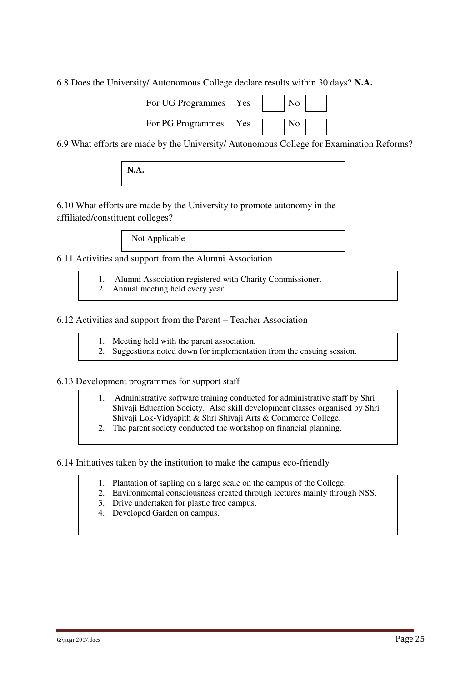6.8 Does the University/ Autonomous College declare results within 30 days? **N.A.** 

| For UG Programmes Yes     No           |  |  |
|----------------------------------------|--|--|
| For PG Programmes Yes $\Box$ No $\Box$ |  |  |

6.9 What efforts are made by the University/ Autonomous College for Examination Reforms?

**N.A.** 

6.10 What efforts are made by the University to promote autonomy in the affiliated/constituent colleges?

Not Applicable

6.11 Activities and support from the Alumni Association

- 1. Alumni Association registered with Charity Commissioner.
- 2. Annual meeting held every year.

6.12 Activities and support from the Parent – Teacher Association

- 1. Meeting held with the parent association.
- 2. Suggestions noted down for implementation from the ensuing session.

#### 6.13 Development programmes for support staff

- 1. Administrative software training conducted for administrative staff by Shri Shivaji Education Society. Also skill development classes organised by Shri Shivaji Lok-Vidyapith & Shri Shivaji Arts & Commerce College.
- 2. The parent society conducted the workshop on financial planning.

6.14 Initiatives taken by the institution to make the campus eco-friendly

- 1. Plantation of sapling on a large scale on the campus of the College.
- 2. Environmental consciousness created through lectures mainly through NSS.
- 3. Drive undertaken for plastic free campus.
- 4. Developed Garden on campus.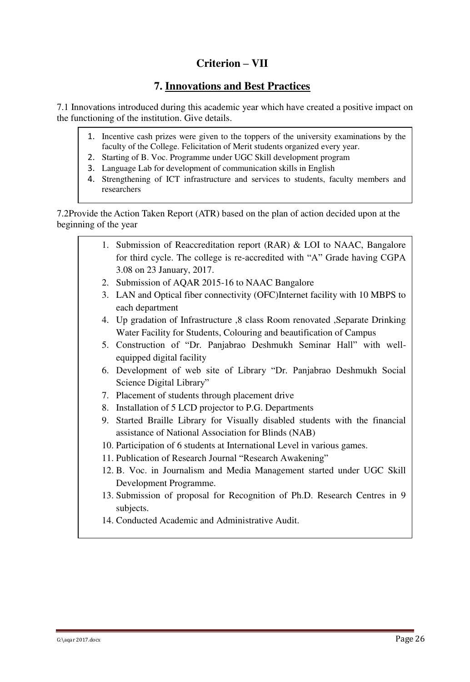## **Criterion – VII**

## **7. Innovations and Best Practices**

7.1 Innovations introduced during this academic year which have created a positive impact on the functioning of the institution. Give details.

- 1. Incentive cash prizes were given to the toppers of the university examinations by the faculty of the College. Felicitation of Merit students organized every year.
- 2. Starting of B. Voc. Programme under UGC Skill development program
- 3. Language Lab for development of communication skills in English
- 4. Strengthening of ICT infrastructure and services to students, faculty members and researchers

7.2Provide the Action Taken Report (ATR) based on the plan of action decided upon at the beginning of the year

- 1. Submission of Reaccreditation report (RAR) & LOI to NAAC, Bangalore for third cycle. The college is re-accredited with "A" Grade having CGPA 3.08 on 23 January, 2017.
- 2. Submission of AQAR 2015-16 to NAAC Bangalore
- 3. LAN and Optical fiber connectivity (OFC)Internet facility with 10 MBPS to each department
- 4. Up gradation of Infrastructure ,8 class Room renovated ,Separate Drinking Water Facility for Students, Colouring and beautification of Campus
- 5. Construction of "Dr. Panjabrao Deshmukh Seminar Hall" with wellequipped digital facility
- 6. Development of web site of Library "Dr. Panjabrao Deshmukh Social Science Digital Library"
- 7. Placement of students through placement drive
- 8. Installation of 5 LCD projector to P.G. Departments
- 9. Started Braille Library for Visually disabled students with the financial assistance of National Association for Blinds (NAB)
- 10. Participation of 6 students at International Level in various games.
- 11. Publication of Research Journal "Research Awakening"
- 12. B. Voc. in Journalism and Media Management started under UGC Skill Development Programme.
- 13. Submission of proposal for Recognition of Ph.D. Research Centres in 9 subjects.
- 14. Conducted Academic and Administrative Audit.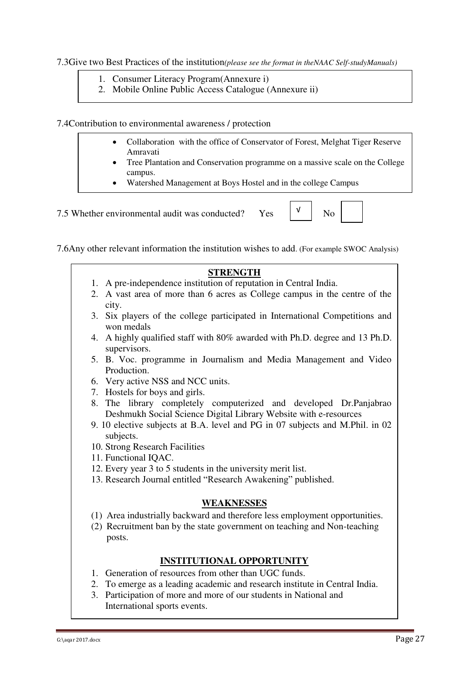7.3Give two Best Practices of the institution*(please see the format in theNAAC Self-studyManuals)*

- 1. Consumer Literacy Program(Annexure i)
- 2. Mobile Online Public Access Catalogue (Annexure ii)

7.4Contribution to environmental awareness / protection

- Collaboration with the office of Conservator of Forest, Melghat Tiger Reserve Amravati
- Tree Plantation and Conservation programme on a massive scale on the College campus.
- Watershed Management at Boys Hostel and in the college Campus

7.5 Whether environmental audit was conducted? Yes  $\begin{bmatrix} \nu \\ \nu \end{bmatrix}$  No

√

| 7.6Any other relevant information the institution wishes to add. (For example SWOC Analysis) |  |
|----------------------------------------------------------------------------------------------|--|
|----------------------------------------------------------------------------------------------|--|

- **STRENGTH**  1. A pre-independence institution of reputation in Central India. 2. A vast area of more than 6 acres as College campus in the centre of the city. 3. Six players of the college participated in International Competitions and won medals 4. A highly qualified staff with 80% awarded with Ph.D. degree and 13 Ph.D. supervisors. 5. B. Voc. programme in Journalism and Media Management and Video Production. 6. Very active NSS and NCC units. 7. Hostels for boys and girls. 8. The library completely computerized and developed Dr.Panjabrao Deshmukh Social Science Digital Library Website with e-resources 9. 10 elective subjects at B.A. level and PG in 07 subjects and M.Phil. in 02 subjects. 10. Strong Research Facilities 11. Functional IQAC. 12. Every year 3 to 5 students in the university merit list. 13. Research Journal entitled "Research Awakening" published. **WEAKNESSES** (1) Area industrially backward and therefore less employment opportunities. (2) Recruitment ban by the state government on teaching and Non-teaching posts. **INSTITUTIONAL OPPORTUNITY** 1. Generation of resources from other than UGC funds.
	- 2. To emerge as a leading academic and research institute in Central India.
	- 3. Participation of more and more of our students in National and International sports events.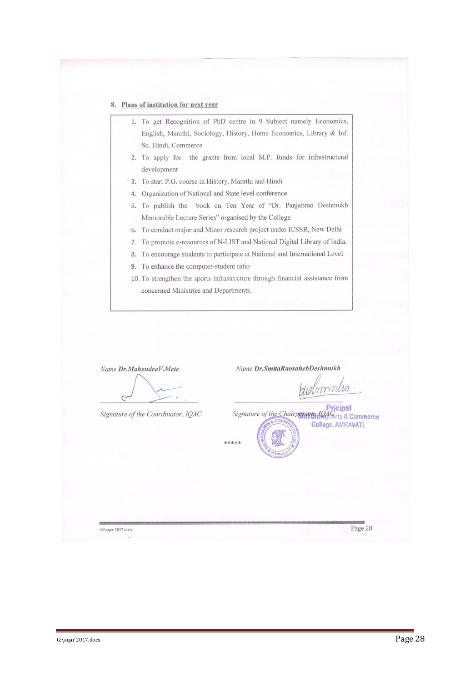#### 8. Plans of institution for next year

- 1. To get Recognition of PhD centre in 9 Subject namely Economics, English, Marathi, Sociology, History, Home Economics, Library & Inf. Sc. Hindi, Commerce
- 2. To apply for the grants from local M.P. funds for infrastructural development
- 3. To start P.G. course in History, Marathi and Hindi
- 4. Organization of National and State level conference
- 5. To publish the book on Ten Year of "Dr. Panjabrao Deshmukh Memorable Lecture Series" organised by the College
- 6. To conduct major and Minor research project under ICSSR, New Delhi
- 7. To promote e-resources of N-LIST and National Digital Library of India.
- 8. To encourage students to participate at National and International Level.
- 9. To enhance the computer-student ratio
- 10. To strengthen the sports infrastructure through financial assistance from concerned Ministries and Departments.

| Name Dr.MahendraV.Mete             | Name Dr.SmitaRaosahebDeshmukh                                                                                                              |
|------------------------------------|--------------------------------------------------------------------------------------------------------------------------------------------|
| Signature of the Coordinator, IQAC | Pricipal<br>Signature of the Chairperson,<br><b>Can Arts &amp; Commerce</b><br>STIS & COMMER<br>Coffege, AMRAVATI.<br><b>SHIV</b><br>***** |
| G:\aqar 2017.docx                  | Page 28                                                                                                                                    |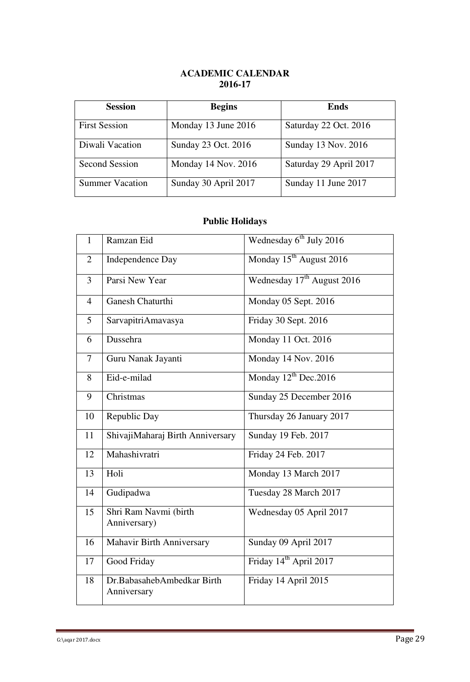### **ACADEMIC CALENDAR 2016-17**

| <b>Session</b>         | <b>Begins</b>        | <b>Ends</b>            |
|------------------------|----------------------|------------------------|
| <b>First Session</b>   | Monday 13 June 2016  | Saturday 22 Oct. 2016  |
| Diwali Vacation        | Sunday 23 Oct. 2016  | Sunday 13 Nov. 2016    |
| <b>Second Session</b>  | Monday 14 Nov. 2016  | Saturday 29 April 2017 |
| <b>Summer Vacation</b> | Sunday 30 April 2017 | Sunday 11 June 2017    |

## **Public Holidays**

| $\mathbf{1}$   | Ramzan Eid                                | Wednesday $6^{th}$ July 2016           |
|----------------|-------------------------------------------|----------------------------------------|
| $\overline{2}$ | <b>Independence Day</b>                   | Monday 15 <sup>th</sup> August 2016    |
| $\overline{3}$ | Parsi New Year                            | Wednesday 17 <sup>th</sup> August 2016 |
| $\overline{4}$ | <b>Ganesh Chaturthi</b>                   | Monday 05 Sept. 2016                   |
| 5              | SarvapitriAmavasya                        | Friday 30 Sept. 2016                   |
| 6              | Dussehra                                  | Monday 11 Oct. 2016                    |
| $\overline{7}$ | Guru Nanak Jayanti                        | Monday 14 Nov. 2016                    |
| 8              | Eid-e-milad                               | Monday $12^{th}$ Dec. 2016             |
| 9              | Christmas                                 | Sunday 25 December 2016                |
| 10             | Republic Day                              | Thursday 26 January 2017               |
| 11             | ShivajiMaharaj Birth Anniversary          | Sunday 19 Feb. 2017                    |
| 12             | Mahashivratri                             | Friday 24 Feb. 2017                    |
| 13             | Holi                                      | Monday 13 March 2017                   |
| 14             | Gudipadwa                                 | Tuesday 28 March 2017                  |
| 15             | Shri Ram Navmi (birth<br>Anniversary)     | Wednesday 05 April 2017                |
| 16             | <b>Mahavir Birth Anniversary</b>          | Sunday 09 April 2017                   |
| 17             | Good Friday                               | Friday 14 <sup>th</sup> April 2017     |
| 18             | Dr.BabasahebAmbedkar Birth<br>Anniversary | Friday 14 April 2015                   |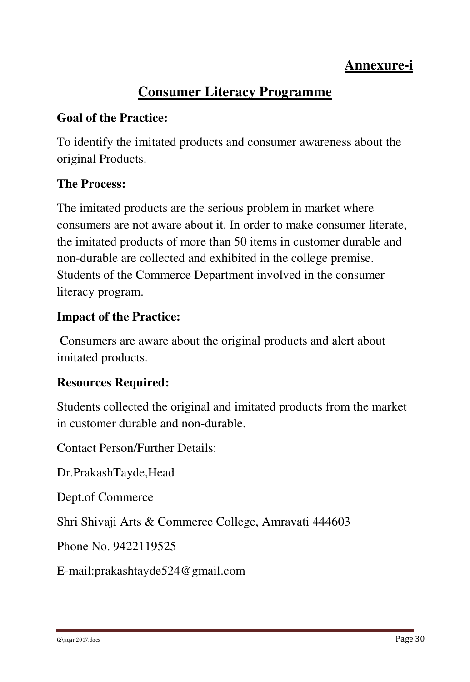# **Annexure-i**

# **Consumer Literacy Programme**

## **Goal of the Practice:**

To identify the imitated products and consumer awareness about the original Products.

## **The Process:**

The imitated products are the serious problem in market where consumers are not aware about it. In order to make consumer literate, the imitated products of more than 50 items in customer durable and non-durable are collected and exhibited in the college premise. Students of the Commerce Department involved in the consumer literacy program.

## **Impact of the Practice:**

 Consumers are aware about the original products and alert about imitated products.

## **Resources Required:**

Students collected the original and imitated products from the market in customer durable and non-durable.

Contact Person/Further Details:

Dr.PrakashTayde,Head

Dept.of Commerce

Shri Shivaji Arts & Commerce College, Amravati 444603

Phone No. 9422119525

E-mail:prakashtayde524@gmail.com